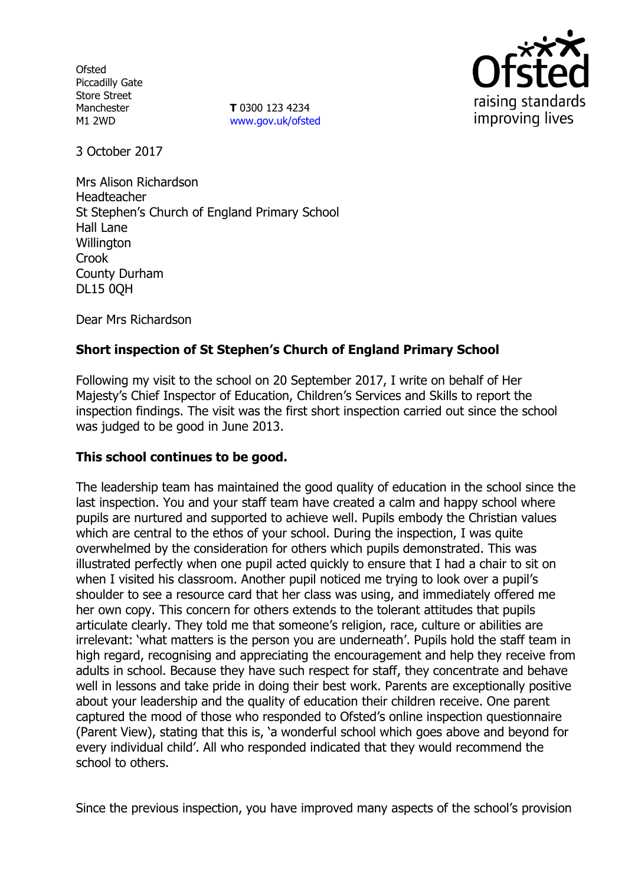**Ofsted** Piccadilly Gate Store Street Manchester M1 2WD

**T** 0300 123 4234 www.gov.uk/ofsted



3 October 2017

Mrs Alison Richardson Headteacher St Stephen's Church of England Primary School Hall Lane **Willington** Crook County Durham DL15 0QH

Dear Mrs Richardson

# **Short inspection of St Stephen's Church of England Primary School**

Following my visit to the school on 20 September 2017, I write on behalf of Her Majesty's Chief Inspector of Education, Children's Services and Skills to report the inspection findings. The visit was the first short inspection carried out since the school was judged to be good in June 2013.

## **This school continues to be good.**

The leadership team has maintained the good quality of education in the school since the last inspection. You and your staff team have created a calm and happy school where pupils are nurtured and supported to achieve well. Pupils embody the Christian values which are central to the ethos of your school. During the inspection, I was quite overwhelmed by the consideration for others which pupils demonstrated. This was illustrated perfectly when one pupil acted quickly to ensure that I had a chair to sit on when I visited his classroom. Another pupil noticed me trying to look over a pupil's shoulder to see a resource card that her class was using, and immediately offered me her own copy. This concern for others extends to the tolerant attitudes that pupils articulate clearly. They told me that someone's religion, race, culture or abilities are irrelevant: 'what matters is the person you are underneath'. Pupils hold the staff team in high regard, recognising and appreciating the encouragement and help they receive from adults in school. Because they have such respect for staff, they concentrate and behave well in lessons and take pride in doing their best work. Parents are exceptionally positive about your leadership and the quality of education their children receive. One parent captured the mood of those who responded to Ofsted's online inspection questionnaire (Parent View), stating that this is, 'a wonderful school which goes above and beyond for every individual child'. All who responded indicated that they would recommend the school to others.

Since the previous inspection, you have improved many aspects of the school's provision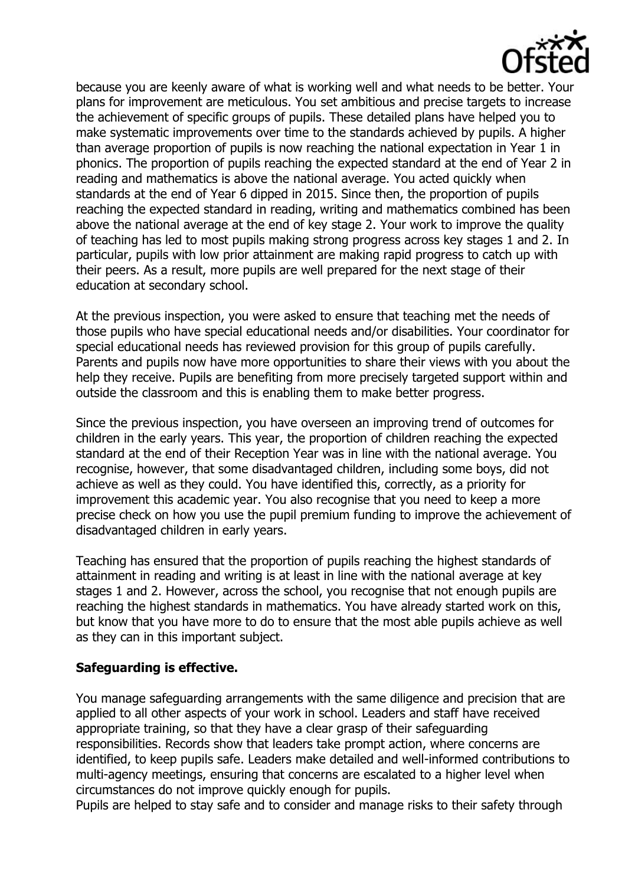

because you are keenly aware of what is working well and what needs to be better. Your plans for improvement are meticulous. You set ambitious and precise targets to increase the achievement of specific groups of pupils. These detailed plans have helped you to make systematic improvements over time to the standards achieved by pupils. A higher than average proportion of pupils is now reaching the national expectation in Year 1 in phonics. The proportion of pupils reaching the expected standard at the end of Year 2 in reading and mathematics is above the national average. You acted quickly when standards at the end of Year 6 dipped in 2015. Since then, the proportion of pupils reaching the expected standard in reading, writing and mathematics combined has been above the national average at the end of key stage 2. Your work to improve the quality of teaching has led to most pupils making strong progress across key stages 1 and 2. In particular, pupils with low prior attainment are making rapid progress to catch up with their peers. As a result, more pupils are well prepared for the next stage of their education at secondary school.

At the previous inspection, you were asked to ensure that teaching met the needs of those pupils who have special educational needs and/or disabilities. Your coordinator for special educational needs has reviewed provision for this group of pupils carefully. Parents and pupils now have more opportunities to share their views with you about the help they receive. Pupils are benefiting from more precisely targeted support within and outside the classroom and this is enabling them to make better progress.

Since the previous inspection, you have overseen an improving trend of outcomes for children in the early years. This year, the proportion of children reaching the expected standard at the end of their Reception Year was in line with the national average. You recognise, however, that some disadvantaged children, including some boys, did not achieve as well as they could. You have identified this, correctly, as a priority for improvement this academic year. You also recognise that you need to keep a more precise check on how you use the pupil premium funding to improve the achievement of disadvantaged children in early years.

Teaching has ensured that the proportion of pupils reaching the highest standards of attainment in reading and writing is at least in line with the national average at key stages 1 and 2. However, across the school, you recognise that not enough pupils are reaching the highest standards in mathematics. You have already started work on this, but know that you have more to do to ensure that the most able pupils achieve as well as they can in this important subject.

#### **Safeguarding is effective.**

You manage safeguarding arrangements with the same diligence and precision that are applied to all other aspects of your work in school. Leaders and staff have received appropriate training, so that they have a clear grasp of their safeguarding responsibilities. Records show that leaders take prompt action, where concerns are identified, to keep pupils safe. Leaders make detailed and well-informed contributions to multi-agency meetings, ensuring that concerns are escalated to a higher level when circumstances do not improve quickly enough for pupils.

Pupils are helped to stay safe and to consider and manage risks to their safety through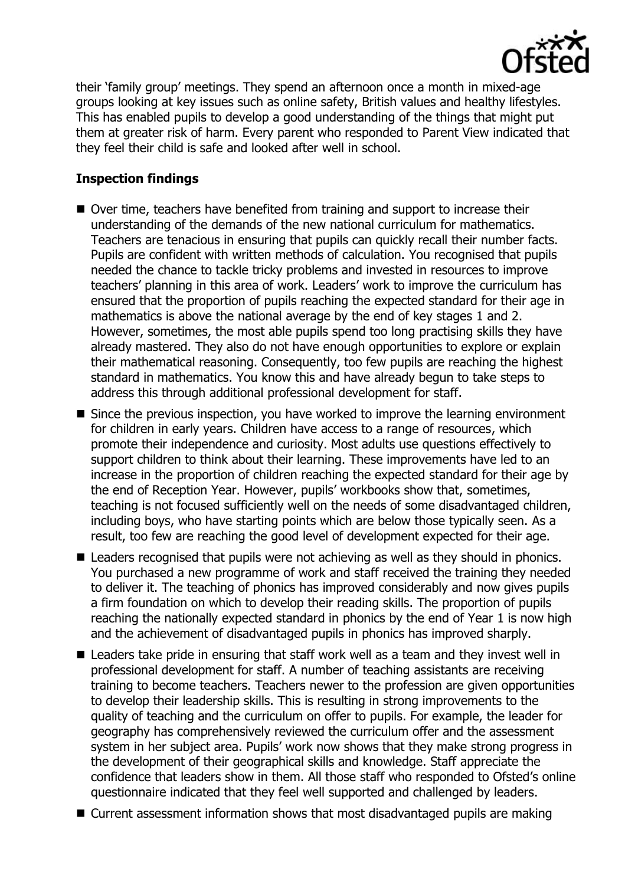

their 'family group' meetings. They spend an afternoon once a month in mixed-age groups looking at key issues such as online safety, British values and healthy lifestyles. This has enabled pupils to develop a good understanding of the things that might put them at greater risk of harm. Every parent who responded to Parent View indicated that they feel their child is safe and looked after well in school.

## **Inspection findings**

- Over time, teachers have benefited from training and support to increase their understanding of the demands of the new national curriculum for mathematics. Teachers are tenacious in ensuring that pupils can quickly recall their number facts. Pupils are confident with written methods of calculation. You recognised that pupils needed the chance to tackle tricky problems and invested in resources to improve teachers' planning in this area of work. Leaders' work to improve the curriculum has ensured that the proportion of pupils reaching the expected standard for their age in mathematics is above the national average by the end of key stages 1 and 2. However, sometimes, the most able pupils spend too long practising skills they have already mastered. They also do not have enough opportunities to explore or explain their mathematical reasoning. Consequently, too few pupils are reaching the highest standard in mathematics. You know this and have already begun to take steps to address this through additional professional development for staff.
- Since the previous inspection, you have worked to improve the learning environment for children in early years. Children have access to a range of resources, which promote their independence and curiosity. Most adults use questions effectively to support children to think about their learning. These improvements have led to an increase in the proportion of children reaching the expected standard for their age by the end of Reception Year. However, pupils' workbooks show that, sometimes, teaching is not focused sufficiently well on the needs of some disadvantaged children, including boys, who have starting points which are below those typically seen. As a result, too few are reaching the good level of development expected for their age.
- Leaders recognised that pupils were not achieving as well as they should in phonics. You purchased a new programme of work and staff received the training they needed to deliver it. The teaching of phonics has improved considerably and now gives pupils a firm foundation on which to develop their reading skills. The proportion of pupils reaching the nationally expected standard in phonics by the end of Year 1 is now high and the achievement of disadvantaged pupils in phonics has improved sharply.
- Leaders take pride in ensuring that staff work well as a team and they invest well in professional development for staff. A number of teaching assistants are receiving training to become teachers. Teachers newer to the profession are given opportunities to develop their leadership skills. This is resulting in strong improvements to the quality of teaching and the curriculum on offer to pupils. For example, the leader for geography has comprehensively reviewed the curriculum offer and the assessment system in her subject area. Pupils' work now shows that they make strong progress in the development of their geographical skills and knowledge. Staff appreciate the confidence that leaders show in them. All those staff who responded to Ofsted's online questionnaire indicated that they feel well supported and challenged by leaders.
- Current assessment information shows that most disadvantaged pupils are making